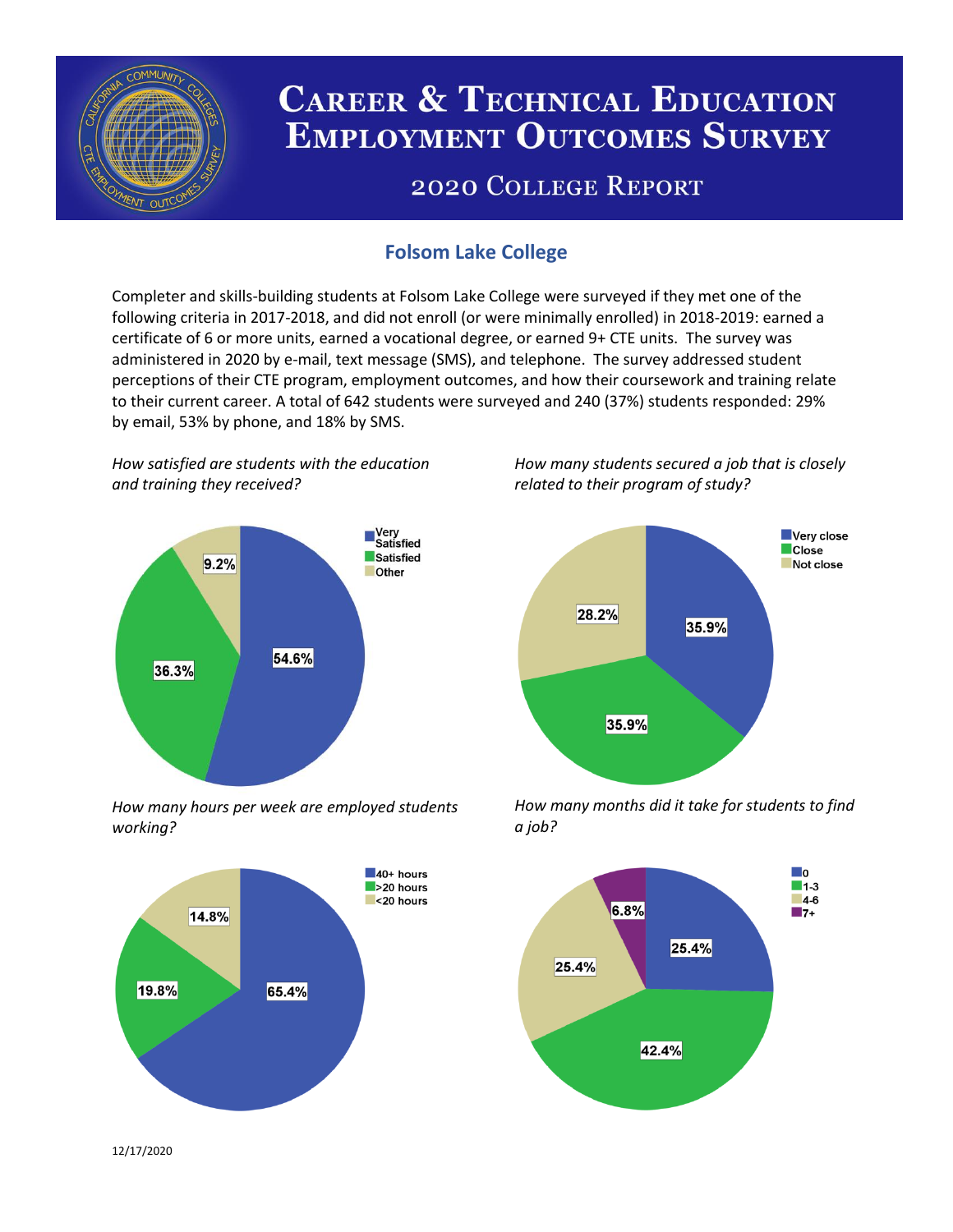

# **CAREER & TECHNICAL EDUCATION EMPLOYMENT OUTCOMES SURVEY**

## **2020 COLLEGE REPORT**

## **Folsom Lake College**

Completer and skills-building students at Folsom Lake College were surveyed if they met one of the following criteria in 2017-2018, and did not enroll (or were minimally enrolled) in 2018-2019: earned a certificate of 6 or more units, earned a vocational degree, or earned 9+ CTE units. The survey was administered in 2020 by e-mail, text message (SMS), and telephone. The survey addressed student perceptions of their CTE program, employment outcomes, and how their coursework and training relate to their current career. A total of 642 students were surveyed and 240 (37%) students responded: 29% by email, 53% by phone, and 18% by SMS.

*How satisfied are students with the education and training they received?*



*How many hours per week are employed students working?*



*How many students secured a job that is closely related to their program of study?*



*How many months did it take for students to find a job?*



12/17/2020